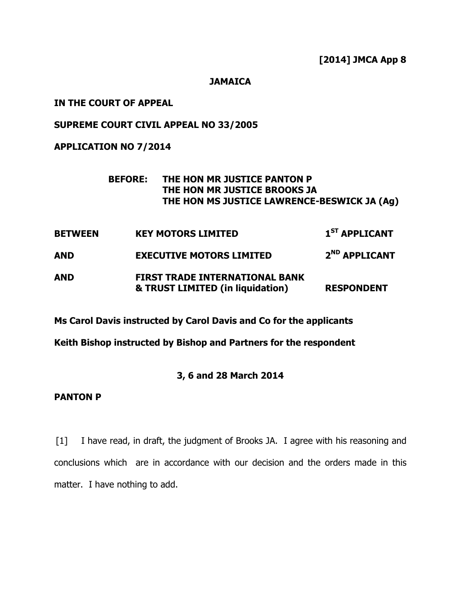[2014] JMCA App 8

#### **JAMAICA**

## IN THE COURT OF APPEAL

# SUPREME COURT CIVIL APPEAL NO 33/2005

## APPLICATION NO 7/2014

## BEFORE: THE HON MR JUSTICE PANTON P THE HON MR JUSTICE BROOKS JA THE HON MS JUSTICE LAWRENCE-BESWICK JA (Ag)

BETWEEN KEY MOTORS LIMITED 1<sup>ST</sup> APPLICANT AND **EXECUTIVE MOTORS LIMITED** 2<sup>ND</sup> APPLICANT AND FIRST TRADE INTERNATIONAL BANK & TRUST LIMITED (in liquidation) RESPONDENT

Ms Carol Davis instructed by Carol Davis and Co for the applicants

Keith Bishop instructed by Bishop and Partners for the respondent

## 3, 6 and 28 March 2014

## PANTON P

[1] I have read, in draft, the judgment of Brooks JA. I agree with his reasoning and conclusions which are in accordance with our decision and the orders made in this matter. I have nothing to add.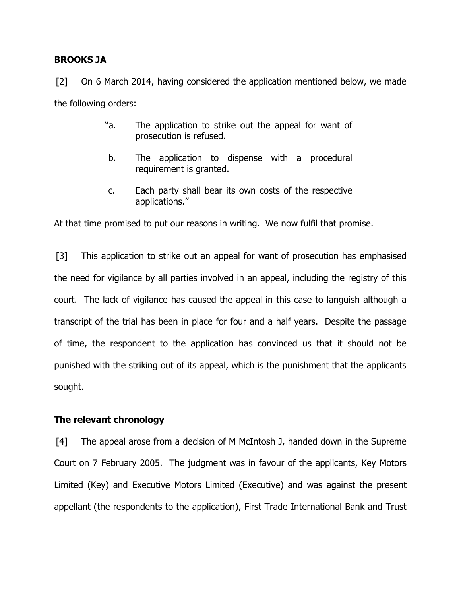## BROOKS JA

[2] On 6 March 2014, having considered the application mentioned below, we made the following orders:

- "a. The application to strike out the appeal for want of prosecution is refused.
- b. The application to dispense with a procedural requirement is granted.
- c. Each party shall bear its own costs of the respective applications."

At that time promised to put our reasons in writing. We now fulfil that promise.

[3] This application to strike out an appeal for want of prosecution has emphasised the need for vigilance by all parties involved in an appeal, including the registry of this court. The lack of vigilance has caused the appeal in this case to languish although a transcript of the trial has been in place for four and a half years. Despite the passage of time, the respondent to the application has convinced us that it should not be punished with the striking out of its appeal, which is the punishment that the applicants sought.

## The relevant chronology

[4] The appeal arose from a decision of M McIntosh J, handed down in the Supreme Court on 7 February 2005. The judgment was in favour of the applicants, Key Motors Limited (Key) and Executive Motors Limited (Executive) and was against the present appellant (the respondents to the application), First Trade International Bank and Trust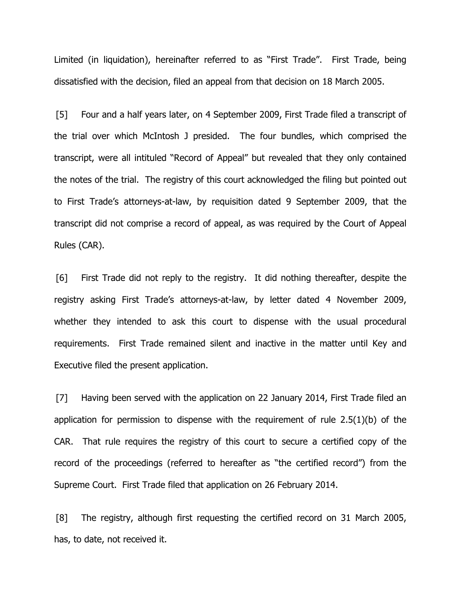Limited (in liquidation), hereinafter referred to as "First Trade". First Trade, being dissatisfied with the decision, filed an appeal from that decision on 18 March 2005.

[5] Four and a half years later, on 4 September 2009, First Trade filed a transcript of the trial over which McIntosh J presided. The four bundles, which comprised the transcript, were all intituled "Record of Appeal" but revealed that they only contained the notes of the trial. The registry of this court acknowledged the filing but pointed out to First Trade's attorneys-at-law, by requisition dated 9 September 2009, that the transcript did not comprise a record of appeal, as was required by the Court of Appeal Rules (CAR).

[6] First Trade did not reply to the registry. It did nothing thereafter, despite the registry asking First Trade's attorneys-at-law, by letter dated 4 November 2009, whether they intended to ask this court to dispense with the usual procedural requirements. First Trade remained silent and inactive in the matter until Key and Executive filed the present application.

[7] Having been served with the application on 22 January 2014, First Trade filed an application for permission to dispense with the requirement of rule 2.5(1)(b) of the CAR. That rule requires the registry of this court to secure a certified copy of the record of the proceedings (referred to hereafter as "the certified record") from the Supreme Court. First Trade filed that application on 26 February 2014.

[8] The registry, although first requesting the certified record on 31 March 2005, has, to date, not received it.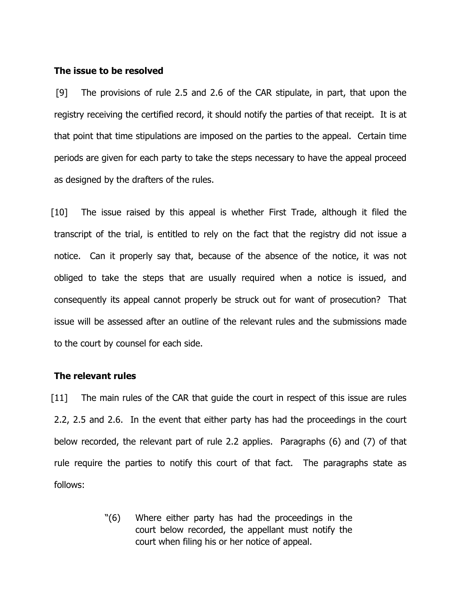#### The issue to be resolved

[9] The provisions of rule 2.5 and 2.6 of the CAR stipulate, in part, that upon the registry receiving the certified record, it should notify the parties of that receipt. It is at that point that time stipulations are imposed on the parties to the appeal. Certain time periods are given for each party to take the steps necessary to have the appeal proceed as designed by the drafters of the rules.

[10] The issue raised by this appeal is whether First Trade, although it filed the transcript of the trial, is entitled to rely on the fact that the registry did not issue a notice. Can it properly say that, because of the absence of the notice, it was not obliged to take the steps that are usually required when a notice is issued, and consequently its appeal cannot properly be struck out for want of prosecution? That issue will be assessed after an outline of the relevant rules and the submissions made to the court by counsel for each side.

#### The relevant rules

[11] The main rules of the CAR that guide the court in respect of this issue are rules 2.2, 2.5 and 2.6. In the event that either party has had the proceedings in the court below recorded, the relevant part of rule 2.2 applies. Paragraphs (6) and (7) of that rule require the parties to notify this court of that fact. The paragraphs state as follows:

> "(6) Where either party has had the proceedings in the court below recorded, the appellant must notify the court when filing his or her notice of appeal.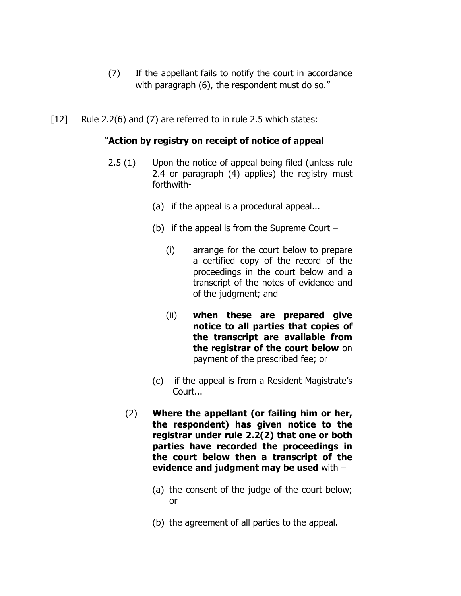- (7) If the appellant fails to notify the court in accordance with paragraph (6), the respondent must do so."
- [12] Rule 2.2(6) and (7) are referred to in rule 2.5 which states:

# "Action by registry on receipt of notice of appeal

- 2.5 (1) Upon the notice of appeal being filed (unless rule 2.4 or paragraph (4) applies) the registry must forthwith-
	- (a) if the appeal is a procedural appeal...
	- (b) if the appeal is from the Supreme Court
		- (i) arrange for the court below to prepare a certified copy of the record of the proceedings in the court below and a transcript of the notes of evidence and of the judgment; and
		- (ii) when these are prepared give notice to all parties that copies of the transcript are available from the registrar of the court below on payment of the prescribed fee; or
	- (c) if the appeal is from a Resident Magistrate's Court...
	- (2) Where the appellant (or failing him or her, the respondent) has given notice to the registrar under rule 2.2(2) that one or both parties have recorded the proceedings in the court below then a transcript of the evidence and judgment may be used with –
		- (a) the consent of the judge of the court below; or
		- (b) the agreement of all parties to the appeal.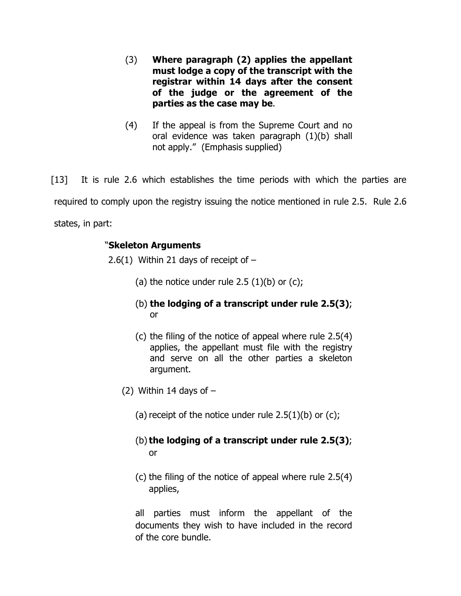- (3) Where paragraph (2) applies the appellant must lodge a copy of the transcript with the registrar within 14 days after the consent of the judge or the agreement of the parties as the case may be.
- (4) If the appeal is from the Supreme Court and no oral evidence was taken paragraph (1)(b) shall not apply." (Emphasis supplied)

[13] It is rule 2.6 which establishes the time periods with which the parties are required to comply upon the registry issuing the notice mentioned in rule 2.5. Rule 2.6 states, in part:

# "Skeleton Arguments

2.6(1) Within 21 days of receipt of  $-$ 

- (a) the notice under rule 2.5  $(1)(b)$  or  $(c)$ ;
- (b) the lodging of a transcript under rule 2.5(3); or
- (c) the filing of the notice of appeal where rule 2.5(4) applies, the appellant must file with the registry and serve on all the other parties a skeleton argument.
- (2) Within 14 days of  $-$ 
	- (a) receipt of the notice under rule  $2.5(1)(b)$  or  $(c)$ ;
	- (b) the lodging of a transcript under rule 2.5(3); or
	- (c) the filing of the notice of appeal where rule 2.5(4) applies,

all parties must inform the appellant of the documents they wish to have included in the record of the core bundle.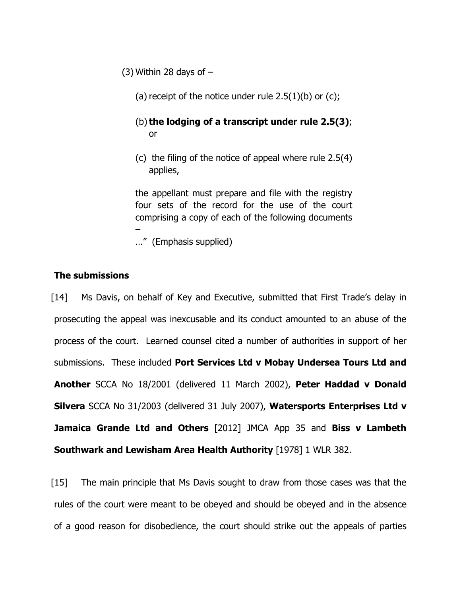(3) Within 28 days of  $-$ 

(a) receipt of the notice under rule  $2.5(1)(b)$  or (c);

# (b) the lodging of a transcript under rule 2.5(3); or

(c) the filing of the notice of appeal where rule 2.5(4) applies,

the appellant must prepare and file with the registry four sets of the record for the use of the court comprising a copy of each of the following documents –

…" (Emphasis supplied)

## The submissions

[14] Ms Davis, on behalf of Key and Executive, submitted that First Trade's delay in prosecuting the appeal was inexcusable and its conduct amounted to an abuse of the process of the court. Learned counsel cited a number of authorities in support of her submissions. These included Port Services Ltd v Mobay Undersea Tours Ltd and Another SCCA No 18/2001 (delivered 11 March 2002), Peter Haddad v Donald Silvera SCCA No 31/2003 (delivered 31 July 2007), Watersports Enterprises Ltd v Jamaica Grande Ltd and Others [2012] JMCA App 35 and Biss v Lambeth Southwark and Lewisham Area Health Authority [1978] 1 WLR 382.

[15] The main principle that Ms Davis sought to draw from those cases was that the rules of the court were meant to be obeyed and should be obeyed and in the absence of a good reason for disobedience, the court should strike out the appeals of parties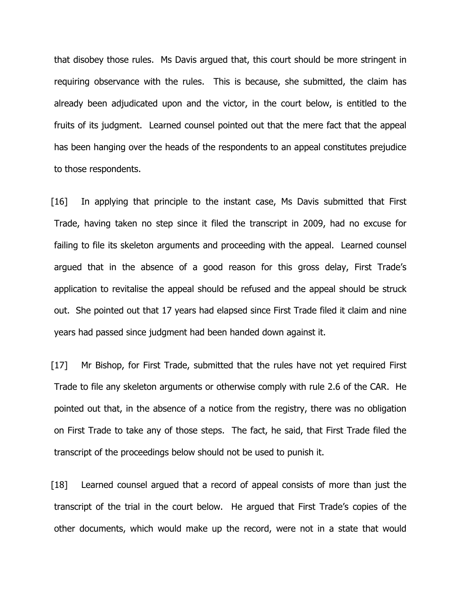that disobey those rules. Ms Davis argued that, this court should be more stringent in requiring observance with the rules. This is because, she submitted, the claim has already been adjudicated upon and the victor, in the court below, is entitled to the fruits of its judgment. Learned counsel pointed out that the mere fact that the appeal has been hanging over the heads of the respondents to an appeal constitutes prejudice to those respondents.

[16] In applying that principle to the instant case, Ms Davis submitted that First Trade, having taken no step since it filed the transcript in 2009, had no excuse for failing to file its skeleton arguments and proceeding with the appeal. Learned counsel argued that in the absence of a good reason for this gross delay, First Trade's application to revitalise the appeal should be refused and the appeal should be struck out. She pointed out that 17 years had elapsed since First Trade filed it claim and nine years had passed since judgment had been handed down against it.

[17] Mr Bishop, for First Trade, submitted that the rules have not yet required First Trade to file any skeleton arguments or otherwise comply with rule 2.6 of the CAR. He pointed out that, in the absence of a notice from the registry, there was no obligation on First Trade to take any of those steps. The fact, he said, that First Trade filed the transcript of the proceedings below should not be used to punish it.

[18] Learned counsel argued that a record of appeal consists of more than just the transcript of the trial in the court below. He argued that First Trade's copies of the other documents, which would make up the record, were not in a state that would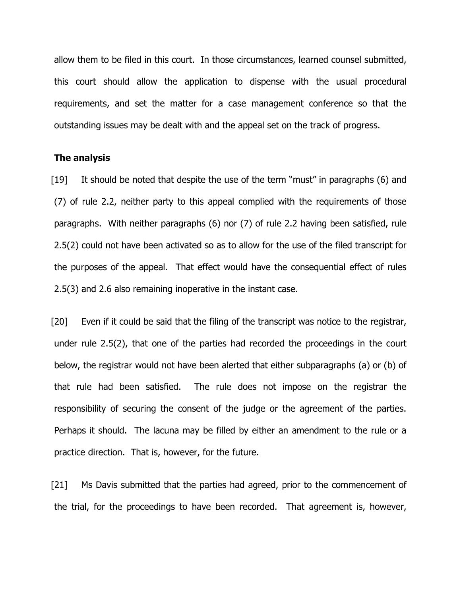allow them to be filed in this court. In those circumstances, learned counsel submitted, this court should allow the application to dispense with the usual procedural requirements, and set the matter for a case management conference so that the outstanding issues may be dealt with and the appeal set on the track of progress.

#### The analysis

[19] It should be noted that despite the use of the term "must" in paragraphs (6) and (7) of rule 2.2, neither party to this appeal complied with the requirements of those paragraphs. With neither paragraphs (6) nor (7) of rule 2.2 having been satisfied, rule 2.5(2) could not have been activated so as to allow for the use of the filed transcript for the purposes of the appeal. That effect would have the consequential effect of rules 2.5(3) and 2.6 also remaining inoperative in the instant case.

[20] Even if it could be said that the filing of the transcript was notice to the registrar, under rule 2.5(2), that one of the parties had recorded the proceedings in the court below, the registrar would not have been alerted that either subparagraphs (a) or (b) of that rule had been satisfied. The rule does not impose on the registrar the responsibility of securing the consent of the judge or the agreement of the parties. Perhaps it should. The lacuna may be filled by either an amendment to the rule or a practice direction. That is, however, for the future.

[21] Ms Davis submitted that the parties had agreed, prior to the commencement of the trial, for the proceedings to have been recorded. That agreement is, however,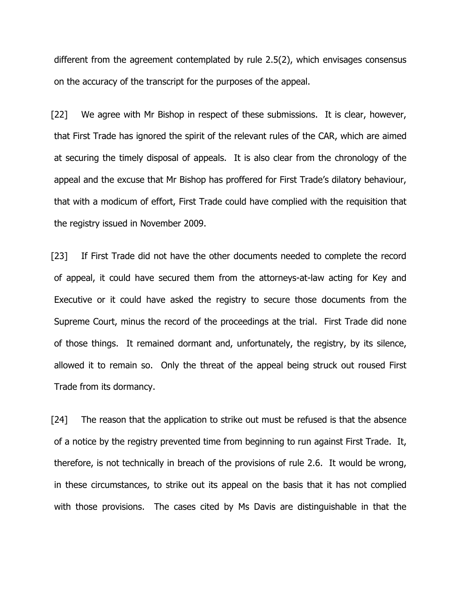different from the agreement contemplated by rule 2.5(2), which envisages consensus on the accuracy of the transcript for the purposes of the appeal.

[22] We agree with Mr Bishop in respect of these submissions. It is clear, however, that First Trade has ignored the spirit of the relevant rules of the CAR, which are aimed at securing the timely disposal of appeals. It is also clear from the chronology of the appeal and the excuse that Mr Bishop has proffered for First Trade's dilatory behaviour, that with a modicum of effort, First Trade could have complied with the requisition that the registry issued in November 2009.

[23] If First Trade did not have the other documents needed to complete the record of appeal, it could have secured them from the attorneys-at-law acting for Key and Executive or it could have asked the registry to secure those documents from the Supreme Court, minus the record of the proceedings at the trial. First Trade did none of those things. It remained dormant and, unfortunately, the registry, by its silence, allowed it to remain so. Only the threat of the appeal being struck out roused First Trade from its dormancy.

[24] The reason that the application to strike out must be refused is that the absence of a notice by the registry prevented time from beginning to run against First Trade. It, therefore, is not technically in breach of the provisions of rule 2.6. It would be wrong, in these circumstances, to strike out its appeal on the basis that it has not complied with those provisions. The cases cited by Ms Davis are distinguishable in that the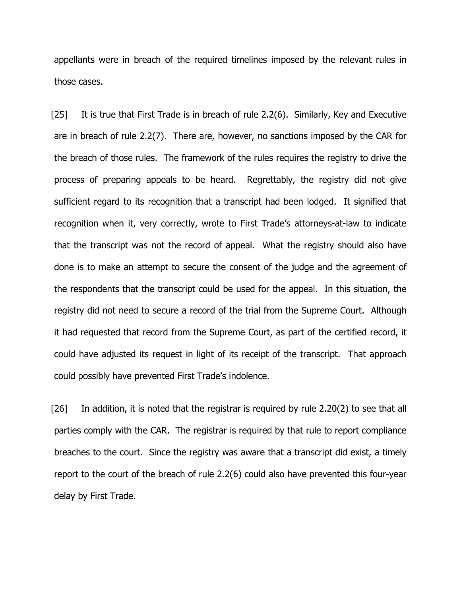appellants were in breach of the required timelines imposed by the relevant rules in those cases.

[25] It is true that First Trade is in breach of rule 2.2(6). Similarly, Key and Executive are in breach of rule 2.2(7). There are, however, no sanctions imposed by the CAR for the breach of those rules. The framework of the rules requires the registry to drive the process of preparing appeals to be heard. Regrettably, the registry did not give sufficient regard to its recognition that a transcript had been lodged. It signified that recognition when it, very correctly, wrote to First Trade's attorneys-at-law to indicate that the transcript was not the record of appeal. What the registry should also have done is to make an attempt to secure the consent of the judge and the agreement of the respondents that the transcript could be used for the appeal. In this situation, the registry did not need to secure a record of the trial from the Supreme Court. Although it had requested that record from the Supreme Court, as part of the certified record, it could have adjusted its request in light of its receipt of the transcript. That approach could possibly have prevented First Trade's indolence.

[26] In addition, it is noted that the registrar is required by rule 2.20(2) to see that all parties comply with the CAR. The registrar is required by that rule to report compliance breaches to the court. Since the registry was aware that a transcript did exist, a timely report to the court of the breach of rule 2.2(6) could also have prevented this four-year delay by First Trade.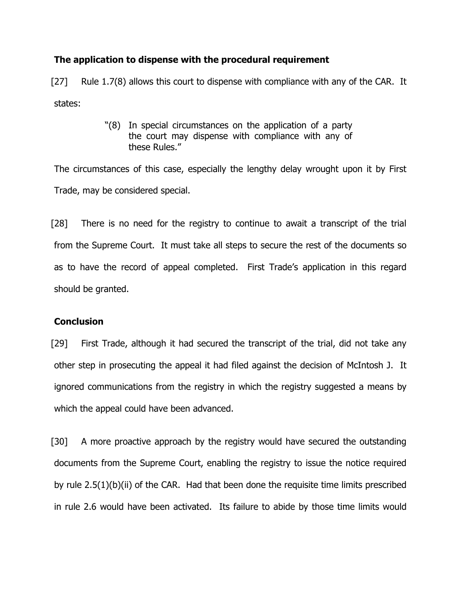## The application to dispense with the procedural requirement

[27] Rule 1.7(8) allows this court to dispense with compliance with any of the CAR. It states:

> "(8) In special circumstances on the application of a party the court may dispense with compliance with any of these Rules."

The circumstances of this case, especially the lengthy delay wrought upon it by First Trade, may be considered special.

[28] There is no need for the registry to continue to await a transcript of the trial from the Supreme Court. It must take all steps to secure the rest of the documents so as to have the record of appeal completed. First Trade's application in this regard should be granted.

#### **Conclusion**

[29] First Trade, although it had secured the transcript of the trial, did not take any other step in prosecuting the appeal it had filed against the decision of McIntosh J. It ignored communications from the registry in which the registry suggested a means by which the appeal could have been advanced.

[30] A more proactive approach by the registry would have secured the outstanding documents from the Supreme Court, enabling the registry to issue the notice required by rule 2.5(1)(b)(ii) of the CAR. Had that been done the requisite time limits prescribed in rule 2.6 would have been activated. Its failure to abide by those time limits would